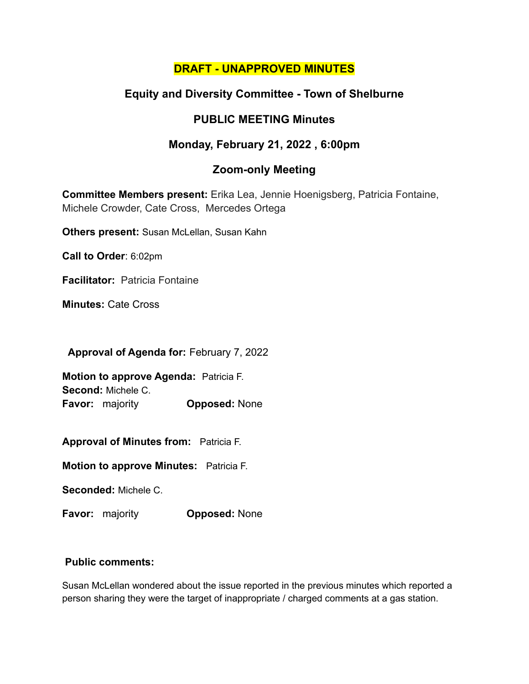## **DRAFT - UNAPPROVED MINUTES**

## **Equity and Diversity Committee - Town of Shelburne**

## **PUBLIC MEETING Minutes**

# **Monday, February 21, 2022 , 6:00pm**

## **Zoom-only Meeting**

**Committee Members present:** Erika Lea, Jennie Hoenigsberg, Patricia Fontaine, Michele Crowder, Cate Cross, Mercedes Ortega

**Others present:** Susan McLellan, Susan Kahn

**Call to Order**: 6:02pm

**Facilitator:** Patricia Fontaine

**Minutes:** Cate Cross

**Approval of Agenda for:** February 7, 2022

**Motion to approve Agenda:** Patricia F. **Second:** Michele C. **Favor:** majority **Opposed:** None

**Approval of Minutes from:** Patricia F.

**Motion to approve Minutes:** Patricia F.

**Seconded:** Michele C.

**Favor:** majority **Opposed:** None

#### **Public comments:**

Susan McLellan wondered about the issue reported in the previous minutes which reported a person sharing they were the target of inappropriate / charged comments at a gas station.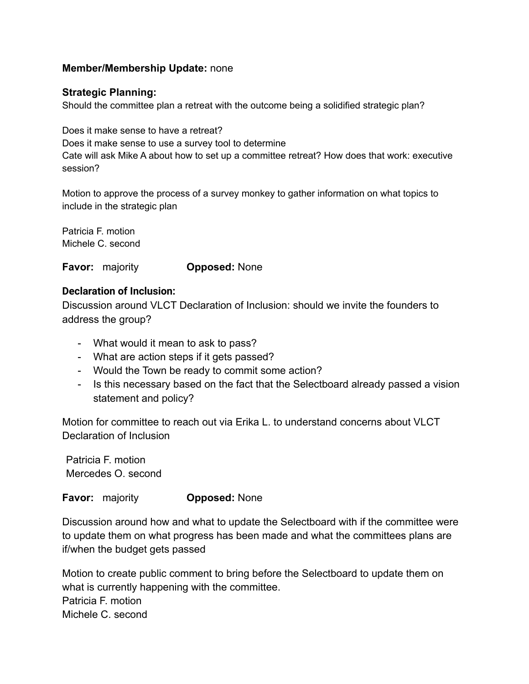#### **Member/Membership Update:** none

#### **Strategic Planning:**

Should the committee plan a retreat with the outcome being a solidified strategic plan?

Does it make sense to have a retreat? Does it make sense to use a survey tool to determine Cate will ask Mike A about how to set up a committee retreat? How does that work: executive session?

Motion to approve the process of a survey monkey to gather information on what topics to include in the strategic plan

Patricia F. motion Michele C. second

**Favor:** majority **Opposed:** None

#### **Declaration of Inclusion:**

Discussion around VLCT Declaration of Inclusion: should we invite the founders to address the group?

- What would it mean to ask to pass?
- What are action steps if it gets passed?
- Would the Town be ready to commit some action?
- Is this necessary based on the fact that the Selectboard already passed a vision statement and policy?

Motion for committee to reach out via Erika L. to understand concerns about VLCT Declaration of Inclusion

Patricia F. motion Mercedes O. second

**Favor:** majority **Opposed:** None

Discussion around how and what to update the Selectboard with if the committee were to update them on what progress has been made and what the committees plans are if/when the budget gets passed

Motion to create public comment to bring before the Selectboard to update them on what is currently happening with the committee. Patricia F. motion Michele C. second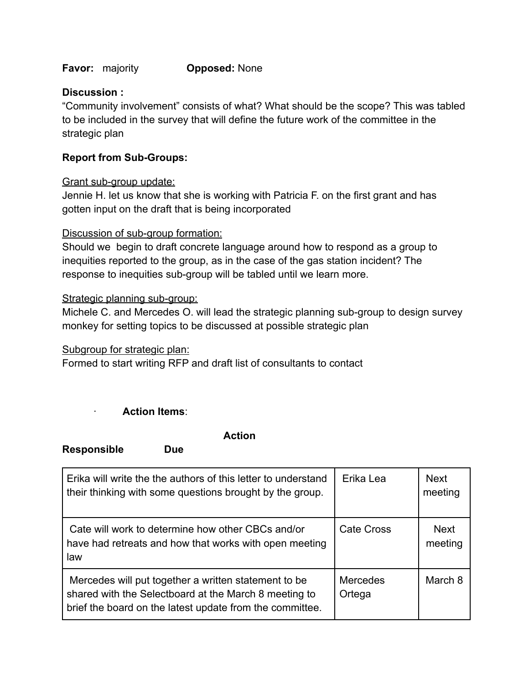**Favor:** majority **Opposed:** None

#### **Discussion :**

"Community involvement" consists of what? What should be the scope? This was tabled to be included in the survey that will define the future work of the committee in the strategic plan

#### **Report from Sub-Groups:**

#### Grant sub-group update:

Jennie H. let us know that she is working with Patricia F. on the first grant and has gotten input on the draft that is being incorporated

#### Discussion of sub-group formation:

Should we begin to draft concrete language around how to respond as a group to inequities reported to the group, as in the case of the gas station incident? The response to inequities sub-group will be tabled until we learn more.

#### Strategic planning sub-group:

Michele C. and Mercedes O. will lead the strategic planning sub-group to design survey monkey for setting topics to be discussed at possible strategic plan

Subgroup for strategic plan:

Formed to start writing RFP and draft list of consultants to contact

### · **Action Items**:

**Action**

**Responsible Due**

| Erika will write the the authors of this letter to understand<br>their thinking with some questions brought by the group.                                                 | Erika Lea                 | <b>Next</b><br>meeting |
|---------------------------------------------------------------------------------------------------------------------------------------------------------------------------|---------------------------|------------------------|
| Cate will work to determine how other CBCs and/or<br>have had retreats and how that works with open meeting<br>law                                                        | <b>Cate Cross</b>         | <b>Next</b><br>meeting |
| Mercedes will put together a written statement to be<br>shared with the Selectboard at the March 8 meeting to<br>brief the board on the latest update from the committee. | <b>Mercedes</b><br>Ortega | March 8                |